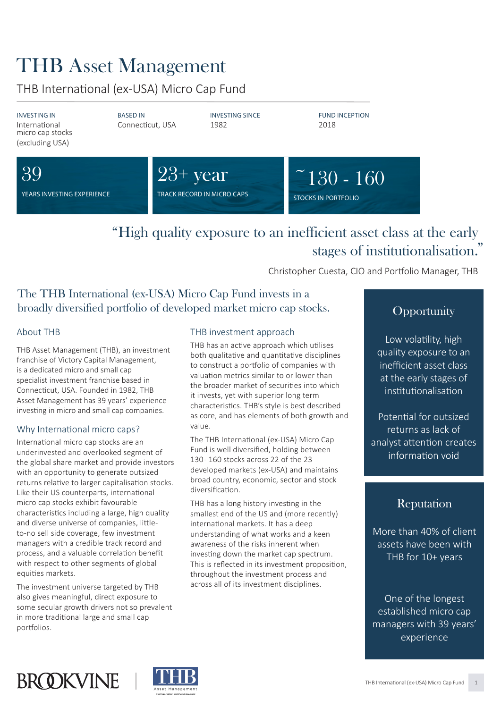# THB Asset Management

## THB International (ex-USA) Micro Cap Fund

International Connecticut, USA 1982 2018 micro cap stocks (excluding USA)

INVESTING IN BASED IN INVESTING SINCE FUND INCEPTION

 $~130 - 160$ 

39 YEARS INVESTING EXPERIENCE



STOCKS IN PORTFOLIO

## "High quality exposure to an inefficient asset class at the early stages of institutionalisation. "

Christopher Cuesta, CIO and Portfolio Manager, THB

The THB International (ex-USA) Micro Cap Fund invests in a broadly diversified portfolio of developed market micro cap stocks. Opportunity

## About THB

THB Asset Management (THB), an investment franchise of Victory Capital Management, is a dedicated micro and small cap specialist investment franchise based in Connecticut, USA. Founded in 1982, THB Asset Management has 39 years' experience investing in micro and small cap companies.

### Why International micro caps?

International micro cap stocks are an underinvested and overlooked segment of the global share market and provide investors with an opportunity to generate outsized returns relative to larger capitalisation stocks. Like their US counterparts, international micro cap stocks exhibit favourable characteristics including a large, high quality and diverse universe of companies, littleto-no sell side coverage, few investment managers with a credible track record and process, and a valuable correlation benefit with respect to other segments of global equities markets.

The investment universe targeted by THB also gives meaningful, direct exposure to some secular growth drivers not so prevalent in more traditional large and small cap portfolios.

### THB investment approach

THB has an active approach which utilises both qualitative and quantitative disciplines to construct a portfolio of companies with valuation metrics similar to or lower than the broader market of securities into which it invests, yet with superior long term characteristics. THB's style is best described as core, and has elements of both growth and value.

The THB International (ex-USA) Micro Cap Fund is well diversified, holding between 130-160 stocks across 22 of the 23 developed markets (ex-USA) and maintains broad country, economic, sector and stock diversification.

THB has a long history investing in the smallest end of the US and (more recently) international markets. It has a deep understanding of what works and a keen awareness of the risks inherent when investing down the market cap spectrum. This is reflected in its investment proposition, throughout the investment process and across all of its investment disciplines.

Low volatility, high quality exposure to an inefficient asset class at the early stages of institutionalisation

Potential for outsized returns as lack of analyst attention creates information void

## Reputation

More than 40% of client assets have been with THB for 10+ years

One of the longest established micro cap managers with 39 years' experience